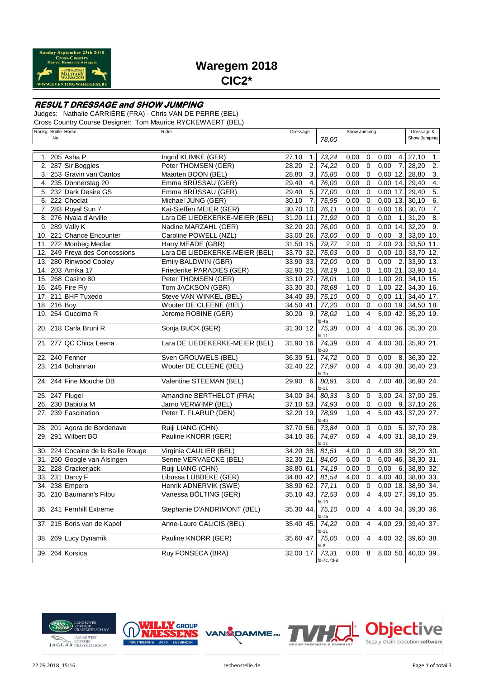

# **Waregem 2018 CIC2\***

### **RESULT DRESSAGE and SHOW JUMPING**

Judges: Nathalie CARRIÈRE (FRA) · Chris VAN DE PERRE (BEL)

Cross Country Course Designer: Tom Maurice RYCKEWAERT (BEL)

| Rankg Bridle Horse<br>No. |                                    | Rider                          | Dressage                  | 78,00                | Show Jumping |                         |            | Dressage &<br>Show Jumping |                           |
|---------------------------|------------------------------------|--------------------------------|---------------------------|----------------------|--------------|-------------------------|------------|----------------------------|---------------------------|
|                           | 1. 205 Asha P                      | Ingrid KLIMKE (GER)            | 27.10<br>1.               | 73,24                | 0,00         | 0                       | 0,00       | 4.                         | 27,10<br>1.               |
|                           | 2. 287 Sir Boggles                 | Peter THOMSEN (GER)            | 28.20<br>2.               | 74,22                | 0,00         | $\mathbf 0$             | 0,00       | 7.                         | 28,20<br>2.               |
|                           | 3. 253 Gravin van Cantos           | Maarten BOON (BEL)             | 3.<br>28.80               | 75,80                | 0,00         | 0                       | $0,00$ 12. |                            | 3.<br>28,80               |
|                           | 4. 235 Donnerstag 20               | Emma BRÜSSAU (GER)             | $\overline{4}$<br>29.40   | 76,00                | 0,00         | $\mathbf 0$             | $0,00$ 14. |                            | $\overline{4}$<br>29,40   |
|                           | 5. 232 Dark Desire GS              | Emma BRÜSSAU (GER)             | $\overline{5}$ .<br>29.40 | 77,00                | 0,00         | $\mathbf 0$             | 0,00       | 17.                        | $\overline{5}$<br>29,40   |
|                           | 6. 222 Choclat                     | Michael JUNG (GER)             | 7.<br>30.10               | 75,95                | 0,00         | $\mathbf 0$             | $0,00$ 13. |                            | 6.<br>30,10               |
|                           | 7. 283 Royal Sun 7                 | Kai-Steffen MEIER (GER)        | 30.70 10.                 | 76,11                | 0,00         | $\mathbf 0$             | $0,00$ 16. |                            | $\overline{7}$ .<br>30,70 |
|                           | 8. 276 Nyala d'Arville             | Lara DE LIEDEKERKE-MEIER (BEL) | 31.20 11.                 | 71,92                | 0,00         | 0                       | 0,00       | $\mathbf 1$ .              | 8.<br>31,20               |
|                           | 9. 289 Vally K                     | Nadine MARZAHL (GER)           | 32.20 20.                 | 76,00                | 0,00         | $\mathbf 0$             | $0,00$ 14. |                            | $\overline{9}$<br>32,20   |
|                           | 10. 221 Chance Encounter           | Caroline POWELL (NZL)          | 33.00 26.                 | 73,00                | 0,00         | $\mathbf 0$             | 0,00       | 3.                         | $33,00$ 10.               |
|                           | 11. 272 Monbeg Medlar              | Harry MEADE (GBR)              | 31.50 15.                 | 79,77                | 2,00         | $\mathbf 0$             | 2,00 23.   |                            | 33,50 11.                 |
|                           | 12. 249 Freya des Concessions      | Lara DE LIEDEKERKE-MEIER (BEL) | 33.70 32.                 | 75,03                | 0,00         | $\mathbf 0$             | $0,00$ 10. |                            | 33,70 12.                 |
|                           | 13. 280 Rinwood Cooley             | Emily BALDWIN (GBR)            | 33.90 33.                 | 72,00                | 0,00         | 0                       | 0,00       | 2.                         | 33,90 13.                 |
|                           | 14. 203 Amika 17                   | Friederike PARADIES (GER)      | 32.90 25.                 | 78,19                | 1,00         | $\mathbf 0$             | 1,00 21.   |                            | 33,90 14.                 |
|                           | 15. 268 Casino 80                  | Peter THOMSEN (GER)            | 33.10 27.                 | 78,01                | 1,00         | $\mathbf 0$             | 1,00 20.   |                            | 34,10 15.                 |
|                           | 16. 245 Fire Fly                   | Tom JACKSON (GBR)              | 33.30 30.                 | 78,68                | 1,00         | $\mathbf 0$             | 1,00 22.   |                            | 34,30 16.                 |
|                           | 17. 211 BHF Tuxedo                 | Steve VAN WINKEL (BEL)         | 34.40 39.                 | 75,10                | 0,00         | $\Omega$                | $0,00$ 11. |                            | 34,40 17.                 |
| 18. 216 Boy               |                                    | Wouter DE CLEENE (BEL)         | 34.50 41.                 | 77,20                | 0,00         | 0                       | $0,00$ 19. |                            | 34,50 18.                 |
|                           | 19. 254 Guccimo R                  | Jerome ROBINE (GER)            | 9.<br>30.20               | 78,02<br>fd-4a       | 1,00         | 4                       | 5,00 42.   |                            | 35,20 19.                 |
|                           | 20. 218 Carla Bruni R              | Sonja BUCK (GER)               | 31.30 12.                 | 75,38<br>fd-11       | 0,00         | 4                       | 4,00 36.   |                            | 35,30 20.                 |
|                           | 21. 277 QC Chica Leena             | Lara DE LIEDEKERKE-MEIER (BEL) | 31.90 16.                 | 74,39<br>$fd-10$     | 0,00         | 4                       | 4,00 30.   |                            | 35,90 21.                 |
|                           | 22. 240 Fenner                     | Sven GROUWELS (BEL)            | 36.30 51.                 | 74,72                | 0,00         | 0                       | 0,00       | 8.                         | 36,30 22.                 |
|                           | 23. 214 Bohannan                   | Wouter DE CLEENE (BEL)         | 32.40 22.                 | 77,97<br>id-7a       | 0,00         | 4                       | 4,00 38.   |                            | 36,40 23.                 |
|                           | 24. 244 Fine Mouche DB             | Valentine STEEMAN (BEL)        | 6.<br>29.90               | 80,91<br>$d-11$      | 3,00         | 4                       | 7,00 48.   |                            | 36,90 24.                 |
|                           | 25. 247 Flugel                     | Amandine BERTHELOT (FRA)       | 34.00 34.                 | 80,33                | 3,00         | 0                       | 3,00 24.   |                            | 37,00 25.                 |
|                           | 26. 230 Dabiola M                  | Jarno VERWIMP (BEL)            | 37.10 53.                 | 74,93                | 0,00         | $\mathbf 0$             | 0,00       | 9.                         | 37,10 26.                 |
|                           | 27. 239 Fascination                | Peter T. FLARUP (DEN)          | 32.20 19.                 | 78,99<br>d-4b        | 1,00         | 4                       | 5,00 43.   |                            | 37,20 27.                 |
|                           | 28. 201 Agora de Bordenave         | Ruiji LIANG (CHN)              | 37.70 56.                 | 73,84                | 0,00         | 0                       | 0,00       | 5.                         | 37,70 28.                 |
|                           | 29. 291 Wilbert BO                 | Pauline KNORR (GER)            | 34.10 36.                 | 74,87<br>$d-11$      | 0,00         | $\overline{\mathbf{4}}$ | 4,00 31.   |                            | 38,10 29.                 |
|                           | 30. 224 Cocaine de la Baille Rouge | Virginie CAULIER (BEL)         | 34.20 38.                 | 81,51                | 4,00         | 0                       | 4,00 39    |                            | 38,20 30.                 |
|                           | 31. 250 Google van Alsingen        | Senne VERVAECKE (BEL)          | 32.30 21.                 | 84,00                | 6,00         | $\mathbf 0$             | 6,00 46.   |                            | 38,30 31.                 |
|                           | 32. 228 Crackerjack                | Ruiji LIANG (CHN)              | 38.80 61.                 | 74,19                | 0,00         | 0                       | 0,00       | 6.                         | 38,80 32.                 |
| 33.                       | 231 Darcy F                        | Libussa LÜBBEKE (GER)          | 34.80 42.                 | 81,54                | 4,00         | $\mathbf 0$             | 4,00       | 40.                        | 38,80 33.                 |
| 34.                       | 238 Empero                         | Henrik ADNERVIK (SWE)          | 38.90 62.                 | 77,11                | 0,00         | $\Omega$                | $0,00$ 18. |                            | 38,90 34.                 |
|                           | 35.  210 Baumann's Filou           | Vanessa BOLTING (GER)          | 35.10 43.                 | 72,53<br>fd-10       | 0,00         | 4                       | 4,00 27.   |                            | 39,10 35.                 |
|                           | 36. 241 Fernhill Extreme           | Stephanie D'ANDRIMONT (BEL)    | 35.30 44.                 | 75,10<br>d-7a        | 0,00         | 4                       | 4,00 34.   |                            | 39,30 36.                 |
|                           | 37. 215 Boris van de Kapel         | Anne-Laure CALICIS (BEL)       | 35.40 45.                 | 74,22<br>d-11        | 0,00         | 4                       | 4,00 29.   |                            | 39,40 37.                 |
|                           | 38. 269 Lucy Dynamik               | Pauline KNORR (GER)            | 35.60 47.                 | 75,00                | 0,00         | 4                       | 4,00 32.   |                            | 39,60 38.                 |
|                           | 39. 264 Korsica                    | Ruy FONSECA (BRA)              | 32.00 17.                 | 73,31<br>fd-7c, fd-9 | 0,00         | 8                       | 8,00 50.   |                            | 40,00 39.                 |







ve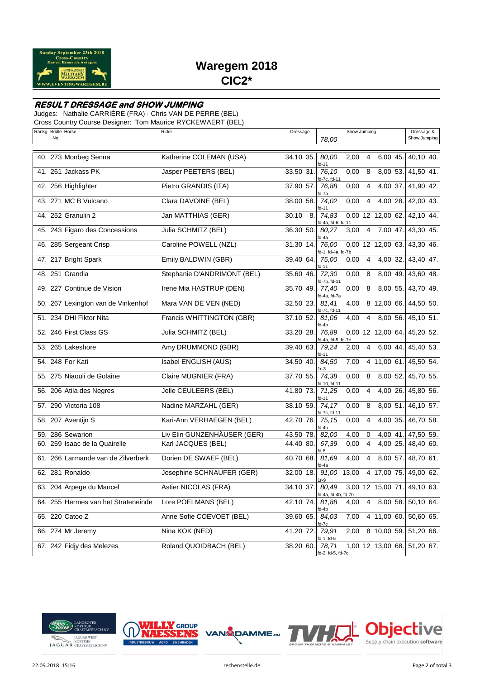

# **Waregem 2018 CIC2\***

### **RESULT DRESSAGE and SHOW JUMPING**

Judges: Nathalie CARRIÈRE (FRA) · Chris VAN DE PERRE (BEL)

Cross Country Course Designer: Tom Maurice RYCKEWAERT (BEL)

| Rankg Bridle Horse<br>No.           | Rider                       | Dressage    | 78,00                        | Show Jumping |                |                   | Dressage &<br>Show Jumping  |
|-------------------------------------|-----------------------------|-------------|------------------------------|--------------|----------------|-------------------|-----------------------------|
| 40. 273 Monbeg Senna                | Katherine COLEMAN (USA)     | 34.10 35.   | 80.00<br>fd-11               | 2,00         | $\overline{4}$ | 6,00 45.          | 40.10 40.                   |
| 41. 261 Jackass PK                  | Jasper PEETERS (BEL)        | 33.50 31.   | 76,10<br>d-7c, fd-11         | 0,00         | 8              | 8,00 53.          | 41,50 41.                   |
| 42. 256 Highlighter                 | Pietro GRANDIS (ITA)        | 37.90 57.   | 76,88<br>d-7a                | 0,00         | $\overline{4}$ | 4,00 37.          | 41,90 42.                   |
| 43. 271 MC B Vulcano                | Clara DAVOINE (BEL)         | 38.00 58.   | 74,02<br>d-11                | 0,00         | 4              | 4,00 28.          | 42,00 43.                   |
| 44. 252 Granulin 2                  | Jan MATTHIAS (GER)          | 30.10<br>8. | 74,83<br>id-4a, fd-6, fd-11  |              |                | 0,00 12 12,00 62. | 42,10 44.                   |
| 45. 243 Figaro des Concessions      | Julia SCHMITZ (BEL)         | 36.30 50.   | 80,27<br>d-4a                | 3,00         | 4              | 7,00 47.          | 43,30 45.                   |
| 46. 285 Sergeant Crisp              | Caroline POWELL (NZL)       | 31.30 14.   | 76,00<br>d-1, fd-4a, fd-7b   |              |                | 0,00 12 12,00 63. | 43,30 46.                   |
| 47. 217 Bright Spark                | Emily BALDWIN (GBR)         | 39.40 64.   | 75,00<br>fd-11               | 0,00         | 4              | $4,00$ 32.        | 43,40 47.                   |
| 48. 251 Grandia                     | Stephanie D'ANDRIMONT (BEL) | 35.60 46.   | 72,30<br>d-7b, fd-11         | 0,00         | 8              | 8,00 49.          | 43,60 48.                   |
| 49. 227 Continue de Vision          | Irene Mia HASTRUP (DEN)     | 35.70 49.   | 77,40<br>d-4a, fd-7a         | 0,00         | 8              | 8,00 55.          | 43,70 49.                   |
| 50. 267 Lexington van de Vinkenhof  | Mara VAN DE VEN (NED)       | 32.50 23.   | 81.41<br>d-7c, fd-11         | 4,00         |                | 8 12,00 66.       | 44,50 50.                   |
| 51. 234 DHI Fiktor Nita             | Francis WHITTINGTON (GBR)   | 37.10 52.   | 81,06<br>d-4b                | 4,00         | 4              | 8,00 56.          | 45,10 51.                   |
| 52. 246 First Class GS              | Julia SCHMITZ (BEL)         | 33.20 28.   | 76.89<br>fd-4a, fd-5, fd-7c  |              |                | 0,00 12 12,00 64. | 45,20 52.                   |
| 53. 265 Lakeshore                   | Amy DRUMMOND (GBR)          | 39.40 63.   | 79.24<br>fd-11               | 2,00         | $\overline{4}$ | 6,00 44.          | 45,40 53.                   |
| 54. 248 For Kati                    | Isabel ENGLISH (AUS)        | 34.50 40.   | 84,50<br>$r-3$               | 7,00         |                | 4 11,00 61.       | 45,50 54.                   |
| 55. 275 Niaouli de Golaine          | Claire MUGNIER (FRA)        | 37.70 55.   | 74,38<br>d-10, fd-11         | 0,00         | 8              | 8,00 52.          | 45,70 55.                   |
| 56. 206 Atila des Negres            | Jelle CEULEERS (BEL)        | 41.80 73.   | 71,25<br>fd-11               | 0,00         | 4              | 4,00 26.          | 45,80 56.                   |
| 57. 290 Victoria 108                | Nadine MARZAHL (GER)        | 38.10 59.   | 74,17<br>d-7c, fd-11         | 0,00         | 8              | 8,00 51.          | 46,10 57.                   |
| 58. 207 Aventijn S                  | Kari-Ann VERHAEGEN (BEL)    | 42.70 76.   | 75,15<br>d-4b                | 0,00         | 4              | 4,00 35.          | 46,70 58.                   |
| 59. 286 Sewarion                    | Liv Elin GUNZENHÄUSER (GER) | 43.50 78.   | 82,00                        | 4,00         | 0              | 4,00 41.          | 47,50 59.                   |
| 60. 259 Isaac de la Quairelle       | Karl JACQUES (BEL)          | 44.40 80.   | 67,39<br>fd-8                | 0,00         | 4              | 4,00 25.          | 48,40 60.                   |
| 61. 266 Larmande van de Zilverberk  | Dorien DE SWAEF (BEL)       | 40.70 68.   | 81,69<br>d-4a                | 4,00         | 4              | 8,00 57.          | 48,70 61.                   |
| 62. 281 Ronaldo                     | Josephine SCHNAUFER (GER)   | 32.00 18.   | 91,00 13,00<br>lr-9          |              |                | 4 17,00 75.       | 49,00 62.                   |
| 63. 204 Arpege du Mancel            | Astier NICOLAS (FRA)        | 34.10 37.   | 80,49<br>fd-4a, fd-4b, fd-7b |              |                | 3,00 12 15,00 71. | 49,10 63.                   |
| 64. 255 Hermes van het Strateneinde | Lore POELMANS (BEL)         | 42.10 74.   | 81,88<br>id-4b               | 4,00         |                | 4 8,00 58.        | 50,10 64.                   |
| 65. 220 Catoo Z                     | Anne Sofie COEVOET (BEL)    | 39.60 65.   | 84,03<br>d-7c                | 7,00         |                | 4 11,00 60.       | 50,60 65.                   |
| 66. 274 Mr Jeremy                   | Nina KOK (NED)              | 41.20 72.   | 79,91<br>id-1, fd-6          | 2,00         |                | 8 10,00 59.       | 51,20 66.                   |
| 67. 242 Fidjy des Melezes           | Roland QUOIDBACH (BEL)      | 38.20 60.   | 78,71<br>fd-2, fd-5, fd-7c   |              |                |                   | 1,00 12 13,00 68. 51,20 67. |







ve